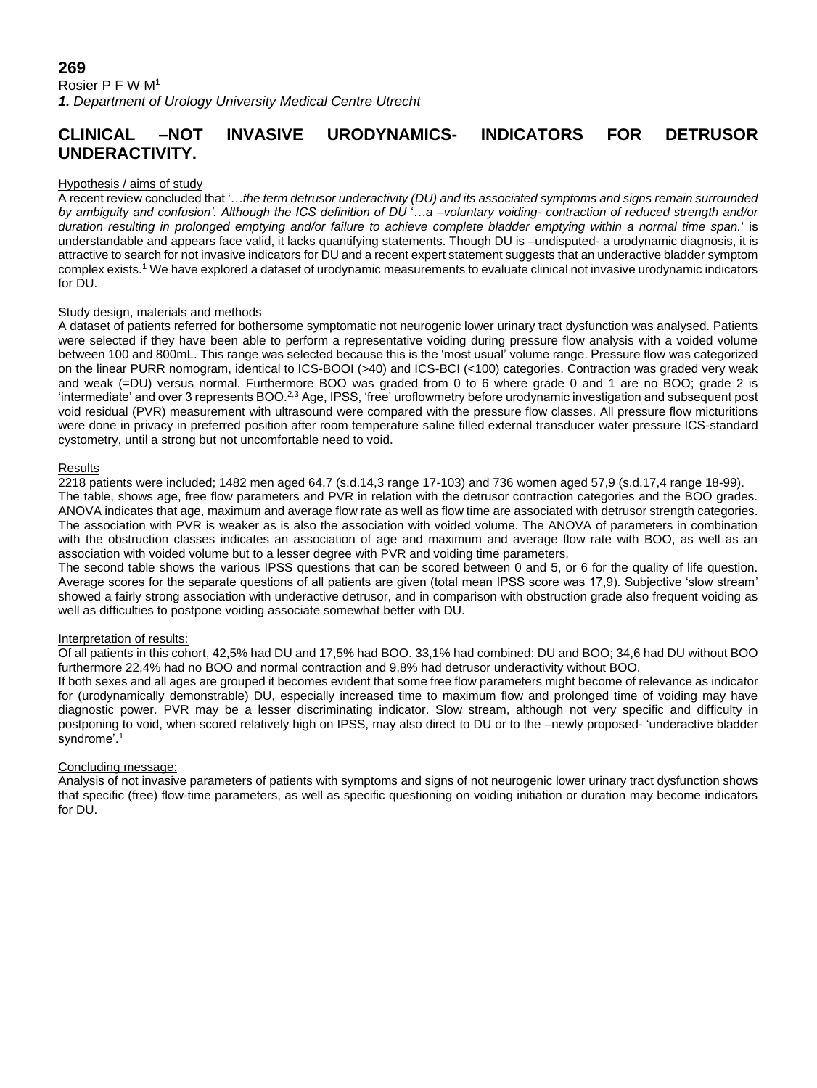## **269** Rosier P F W M<sup>1</sup> *1. Department of Urology University Medical Centre Utrecht*

# **CLINICAL –NOT INVASIVE URODYNAMICS- INDICATORS FOR DETRUSOR UNDERACTIVITY.**

#### Hypothesis / aims of study

A recent review concluded that '…*the term detrusor underactivity (DU) and its associated symptoms and signs remain surrounded by ambiguity and confusion'. Although the ICS definition of DU* '…*a –voluntary voiding- contraction of reduced strength and/or duration resulting in prolonged emptying and/or failure to achieve complete bladder emptying within a normal time span.*' is understandable and appears face valid, it lacks quantifying statements. Though DU is –undisputed- a urodynamic diagnosis, it is attractive to search for not invasive indicators for DU and a recent expert statement suggests that an underactive bladder symptom complex exists.<sup>1</sup> We have explored a dataset of urodynamic measurements to evaluate clinical not invasive urodynamic indicators for DU.

#### Study design, materials and methods

A dataset of patients referred for bothersome symptomatic not neurogenic lower urinary tract dysfunction was analysed. Patients were selected if they have been able to perform a representative voiding during pressure flow analysis with a voided volume between 100 and 800mL. This range was selected because this is the 'most usual' volume range. Pressure flow was categorized on the linear PURR nomogram, identical to ICS-BOOI (>40) and ICS-BCI (<100) categories. Contraction was graded very weak and weak (=DU) versus normal. Furthermore BOO was graded from 0 to 6 where grade 0 and 1 are no BOO; grade 2 is 'intermediate' and over 3 represents BOO.2,3 Age, IPSS, 'free' uroflowmetry before urodynamic investigation and subsequent post void residual (PVR) measurement with ultrasound were compared with the pressure flow classes. All pressure flow micturitions were done in privacy in preferred position after room temperature saline filled external transducer water pressure ICS-standard cystometry, until a strong but not uncomfortable need to void.

#### Results

2218 patients were included; 1482 men aged 64,7 (s.d.14,3 range 17-103) and 736 women aged 57,9 (s.d.17,4 range 18-99). The table, shows age, free flow parameters and PVR in relation with the detrusor contraction categories and the BOO grades. ANOVA indicates that age, maximum and average flow rate as well as flow time are associated with detrusor strength categories. The association with PVR is weaker as is also the association with voided volume. The ANOVA of parameters in combination with the obstruction classes indicates an association of age and maximum and average flow rate with BOO, as well as an association with voided volume but to a lesser degree with PVR and voiding time parameters.

The second table shows the various IPSS questions that can be scored between 0 and 5, or 6 for the quality of life question. Average scores for the separate questions of all patients are given (total mean IPSS score was 17,9). Subjective 'slow stream' showed a fairly strong association with underactive detrusor, and in comparison with obstruction grade also frequent voiding as well as difficulties to postpone voiding associate somewhat better with DU.

#### Interpretation of results:

Of all patients in this cohort, 42,5% had DU and 17,5% had BOO. 33,1% had combined: DU and BOO; 34,6 had DU without BOO furthermore 22,4% had no BOO and normal contraction and 9,8% had detrusor underactivity without BOO.

If both sexes and all ages are grouped it becomes evident that some free flow parameters might become of relevance as indicator for (urodynamically demonstrable) DU, especially increased time to maximum flow and prolonged time of voiding may have diagnostic power. PVR may be a lesser discriminating indicator. Slow stream, although not very specific and difficulty in postponing to void, when scored relatively high on IPSS, may also direct to DU or to the –newly proposed- 'underactive bladder syndrome'.<sup>1</sup>

### Concluding message:

Analysis of not invasive parameters of patients with symptoms and signs of not neurogenic lower urinary tract dysfunction shows that specific (free) flow-time parameters, as well as specific questioning on voiding initiation or duration may become indicators for DU.